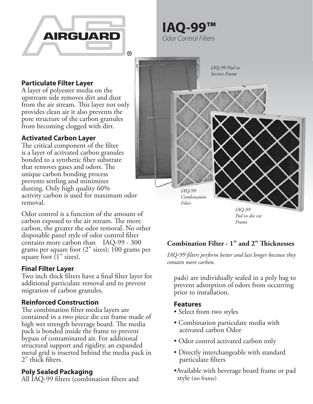

**IAQ-99™** *Odor Control Filters*

## **Particulate Filter Layer**

A layer of polyester media on the upstream side removes dirt and dust from the air stream. This layer not only provides clean air it also prevents the pore structure of the carbon granules from becoming clogged with dirt.

## **Activated Carbon Layer**

The critical component of the filter is a layer of activated carbon granules bonded to a synthetic fiber substrate that removes gases and odors. The unique carbon bonding process prevents settling and minimizes dusting. Only high quality 60% activity carbon is used for maximum odor removal.

Odor control is a function of the amount of carbon exposed to the air stream. The more carbon, the greater the odor removal. No other disposable panel style of odor control filter contains more carbon than IAQ-99 - 300 grams per square foot (2" sizes); 100 grams per square foot (1" sizes).

#### **Final Filter Layer**

Two inch thick filters have a final filter layer for additional particulate removal and to prevent migration of carbon granules.

## **Reinforced Construction**

The combination filter media layers are contained in a two piece die cut frame made of high wet strength beverage board. The media pack is bonded inside the frame to prevent bypass of contaminated air. For additional structural support and rigidity, an expanded metal grid is inserted behind the media pack in 2" thick filters.

#### **Poly Sealed Packaging**

All IAQ-99 filters (combination filters and



# **Combination Filter - 1" and 2" Thicknesses**

*IAQ-99 filters perform better and last longer because they contain more carbon.*

pads) are individually sealed in a poly bag to prevent adsorption of odors from occurring prior to installation.

#### **Features**

- Select from two styles
- Combination particulate media with activated carbon Odor
- Odor control activated carbon only
- Directly interchangeable with standard particulate filters
- Available with beverage board frame or pad style (no frame)